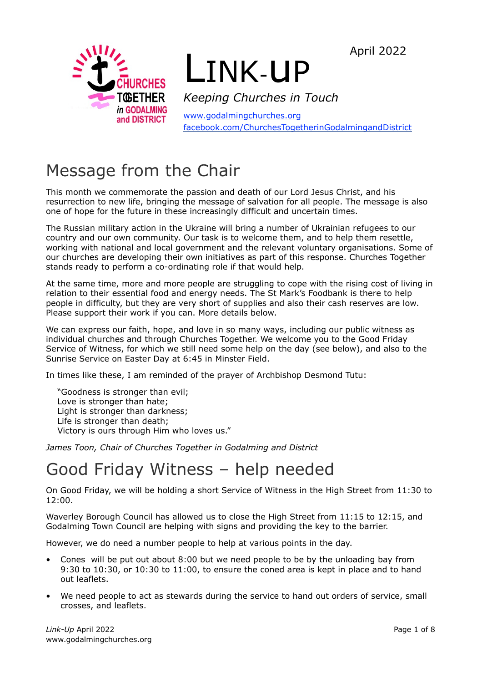April 2022



# LINK-uP

*Keeping Churches in Touch*

[www.godalmingchurches.org](http://www.godalmingchurches.org) [facebook.com/ChurchesTogetherinGodalmingandDistrict](http://facebook.com/ChurchesTogetherinGodalmingandDistrict)

# Message from the Chair

This month we commemorate the passion and death of our Lord Jesus Christ, and his resurrection to new life, bringing the message of salvation for all people. The message is also one of hope for the future in these increasingly difficult and uncertain times.

The Russian military action in the Ukraine will bring a number of Ukrainian refugees to our country and our own community. Our task is to welcome them, and to help them resettle, working with national and local government and the relevant voluntary organisations. Some of our churches are developing their own initiatives as part of this response. Churches Together stands ready to perform a co-ordinating role if that would help.

At the same time, more and more people are struggling to cope with the rising cost of living in relation to their essential food and energy needs. The St Mark's Foodbank is there to help people in difficulty, but they are very short of supplies and also their cash reserves are low. Please support their work if you can. More details below.

We can express our faith, hope, and love in so many ways, including our public witness as individual churches and through Churches Together. We welcome you to the Good Friday Service of Witness, for which we still need some help on the day (see below), and also to the Sunrise Service on Easter Day at 6:45 in Minster Field.

In times like these, I am reminded of the prayer of Archbishop Desmond Tutu:

"Goodness is stronger than evil; Love is stronger than hate; Light is stronger than darkness; Life is stronger than death; Victory is ours through Him who loves us."

*James Toon, Chair of Churches Together in Godalming and District*

# Good Friday Witness – help needed

On Good Friday, we will be holding a short Service of Witness in the High Street from 11:30 to 12:00.

Waverley Borough Council has allowed us to close the High Street from 11:15 to 12:15, and Godalming Town Council are helping with signs and providing the key to the barrier.

However, we do need a number people to help at various points in the day.

- Cones will be put out about 8:00 but we need people to be by the unloading bay from 9:30 to 10:30, or 10:30 to 11:00, to ensure the coned area is kept in place and to hand out leaflets.
- We need people to act as stewards during the service to hand out orders of service, small crosses, and leaflets.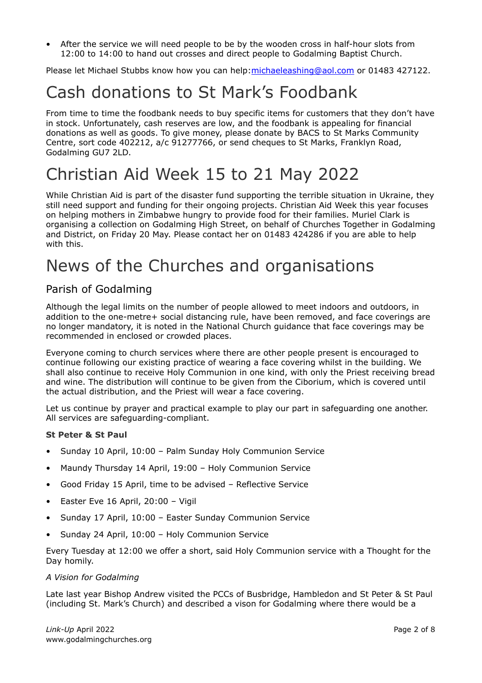• After the service we will need people to be by the wooden cross in half-hour slots from 12:00 to 14:00 to hand out crosses and direct people to Godalming Baptist Church.

Please let Michael Stubbs know how you can help: michaeleashing@aol.com or 01483 427122.

# Cash donations to St Mark's Foodbank

From time to time the foodbank needs to buy specific items for customers that they don't have in stock. Unfortunately, cash reserves are low, and the foodbank is appealing for financial donations as well as goods. To give money, please donate by BACS to St Marks Community Centre, sort code 402212, a/c 91277766, or send cheques to St Marks, Franklyn Road, Godalming GU7 2LD.

# Christian Aid Week 15 to 21 May 2022

While Christian Aid is part of the disaster fund supporting the terrible situation in Ukraine, they still need support and funding for their ongoing projects. Christian Aid Week this year focuses on helping mothers in Zimbabwe hungry to provide food for their families. Muriel Clark is organising a collection on Godalming High Street, on behalf of Churches Together in Godalming and District, on Friday 20 May. Please contact her on 01483 424286 if you are able to help with this.

# News of the Churches and organisations

# Parish of Godalming

Although the legal limits on the number of people allowed to meet indoors and outdoors, in addition to the one-metre+ social distancing rule, have been removed, and face coverings are no longer mandatory, it is noted in the National Church guidance that face coverings may be recommended in enclosed or crowded places.

Everyone coming to church services where there are other people present is encouraged to continue following our existing practice of wearing a face covering whilst in the building. We shall also continue to receive Holy Communion in one kind, with only the Priest receiving bread and wine. The distribution will continue to be given from the Ciborium, which is covered until the actual distribution, and the Priest will wear a face covering.

Let us continue by prayer and practical example to play our part in safeguarding one another. All services are safeguarding-compliant.

#### **St Peter & St Paul**

- Sunday 10 April, 10:00 Palm Sunday Holy Communion Service
- Maundy Thursday 14 April, 19:00 Holy Communion Service
- Good Friday 15 April, time to be advised Reflective Service
- Easter Eve 16 April, 20:00 Vigil
- Sunday 17 April, 10:00 Easter Sunday Communion Service
- Sunday 24 April, 10:00 Holy Communion Service

Every Tuesday at 12:00 we offer a short, said Holy Communion service with a Thought for the Day homily.

#### *A Vision for Godalming*

Late last year Bishop Andrew visited the PCCs of Busbridge, Hambledon and St Peter & St Paul (including St. Mark's Church) and described a vison for Godalming where there would be a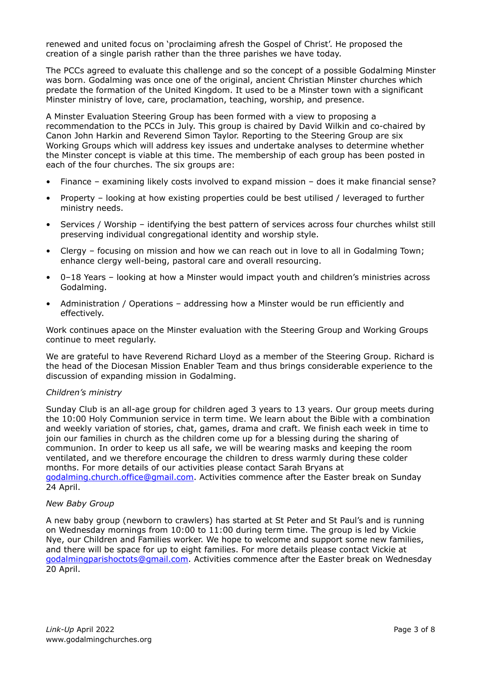renewed and united focus on 'proclaiming afresh the Gospel of Christ'. He proposed the creation of a single parish rather than the three parishes we have today.

The PCCs agreed to evaluate this challenge and so the concept of a possible Godalming Minster was born. Godalming was once one of the original, ancient Christian Minster churches which predate the formation of the United Kingdom. It used to be a Minster town with a significant Minster ministry of love, care, proclamation, teaching, worship, and presence.

A Minster Evaluation Steering Group has been formed with a view to proposing a recommendation to the PCCs in July. This group is chaired by David Wilkin and co-chaired by Canon John Harkin and Reverend Simon Taylor. Reporting to the Steering Group are six Working Groups which will address key issues and undertake analyses to determine whether the Minster concept is viable at this time. The membership of each group has been posted in each of the four churches. The six groups are:

- Finance examining likely costs involved to expand mission does it make financial sense?
- Property looking at how existing properties could be best utilised / leveraged to further ministry needs.
- Services / Worship identifying the best pattern of services across four churches whilst still preserving individual congregational identity and worship style.
- Clergy focusing on mission and how we can reach out in love to all in Godalming Town; enhance clergy well-being, pastoral care and overall resourcing.
- 0–18 Years looking at how a Minster would impact youth and children's ministries across Godalming.
- Administration / Operations addressing how a Minster would be run efficiently and effectively.

Work continues apace on the Minster evaluation with the Steering Group and Working Groups continue to meet regularly.

We are grateful to have Reverend Richard Lloyd as a member of the Steering Group. Richard is the head of the Diocesan Mission Enabler Team and thus brings considerable experience to the discussion of expanding mission in Godalming.

#### *Children's ministry*

Sunday Club is an all-age group for children aged 3 years to 13 years. Our group meets during the 10:00 Holy Communion service in term time. We learn about the Bible with a combination and weekly variation of stories, chat, games, drama and craft. We finish each week in time to join our families in church as the children come up for a blessing during the sharing of communion. In order to keep us all safe, we will be wearing masks and keeping the room ventilated, and we therefore encourage the children to dress warmly during these colder months. For more details of our activities please contact Sarah Bryans at [godalming.church.office@gmail.com](mailto:godalming.church.office@gmail.com). Activities commence after the Easter break on Sunday 24 April.

#### *New Baby Group*

A new baby group (newborn to crawlers) has started at St Peter and St Paul's and is running on Wednesday mornings from 10:00 to 11:00 during term time. The group is led by Vickie Nye, our Children and Families worker. We hope to welcome and support some new families, and there will be space for up to eight families. For more details please contact Vickie at [godalmingparishoctots@gmail.com](mailto:godalmingparishoctots@gmail.com). Activities commence after the Easter break on Wednesday 20 April.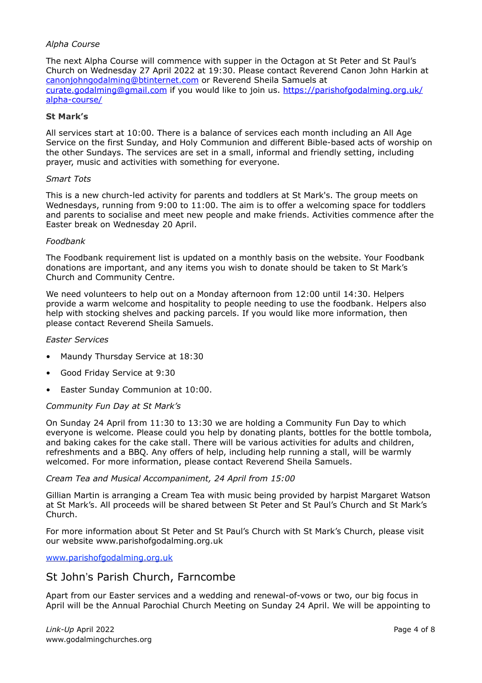#### *Alpha Course*

The next Alpha Course will commence with supper in the Octagon at St Peter and St Paul's Church on Wednesday 27 April 2022 at 19:30. Please contact Reverend Canon John Harkin at [canonjohngodalming@btinternet.com](mailto:canonjohngodalming@btinternet.com) or Reverend Sheila Samuels at [curate.godalming@gmail.com](mailto:curate.godalming@gmail.com) if you would like to join us. [https://parishofgodalming.org.uk/](https://parishofgodalming.org.uk/alpha-course/) [alpha-course/](https://parishofgodalming.org.uk/alpha-course/)

#### **St Mark's**

All services start at 10:00. There is a balance of services each month including an All Age Service on the first Sunday, and Holy Communion and different Bible-based acts of worship on the other Sundays. The services are set in a small, informal and friendly setting, including prayer, music and activities with something for everyone.

#### *Smart Tots*

This is a new church-led activity for parents and toddlers at St Mark's. The group meets on Wednesdays, running from 9:00 to 11:00. The aim is to offer a welcoming space for toddlers and parents to socialise and meet new people and make friends. Activities commence after the Easter break on Wednesday 20 April.

#### *Foodbank*

The Foodbank requirement list is updated on a monthly basis on the website. Your Foodbank donations are important, and any items you wish to donate should be taken to St Mark's Church and Community Centre.

We need volunteers to help out on a Monday afternoon from 12:00 until 14:30. Helpers provide a warm welcome and hospitality to people needing to use the foodbank. Helpers also help with stocking shelves and packing parcels. If you would like more information, then please contact Reverend Sheila Samuels.

#### *Easter Services*

- Maundy Thursday Service at 18:30
- Good Friday Service at 9:30
- Easter Sunday Communion at 10:00.

#### *Community Fun Day at St Mark's*

On Sunday 24 April from 11:30 to 13:30 we are holding a Community Fun Day to which everyone is welcome. Please could you help by donating plants, bottles for the bottle tombola, and baking cakes for the cake stall. There will be various activities for adults and children, refreshments and a BBQ. Any offers of help, including help running a stall, will be warmly welcomed. For more information, please contact Reverend Sheila Samuels.

#### *Cream Tea and Musical Accompaniment, 24 April from 15:00*

Gillian Martin is arranging a Cream Tea with music being provided by harpist Margaret Watson at St Mark's. All proceeds will be shared between St Peter and St Paul's Church and St Mark's Church.

For more information about St Peter and St Paul's Church with St Mark's Church, please visit our website www.parishofgodalming.org.uk

[www.parishofgodalming.org.uk](http://www.parishofgodalming.org.uk)

#### St John's Parish Church, Farncombe

Apart from our Easter services and a wedding and renewal-of-vows or two, our big focus in April will be the Annual Parochial Church Meeting on Sunday 24 April. We will be appointing to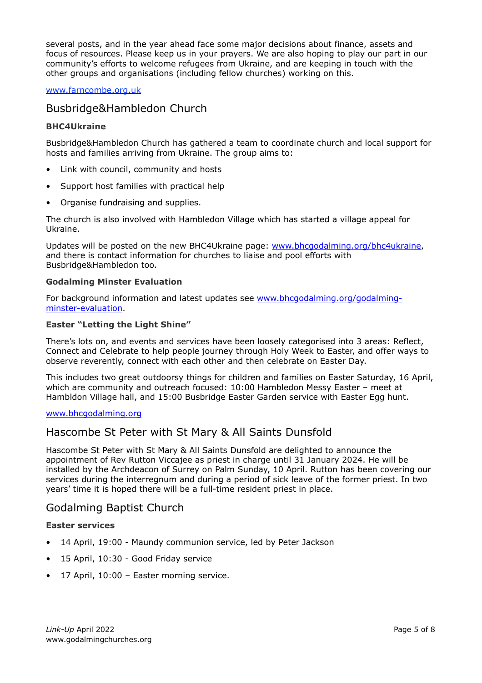several posts, and in the year ahead face some major decisions about finance, assets and focus of resources. Please keep us in your prayers. We are also hoping to play our part in our community's efforts to welcome refugees from Ukraine, and are keeping in touch with the other groups and organisations (including fellow churches) working on this.

#### [www.farncombe.org.uk](http://www.farncombe.org.uk)

### Busbridge&Hambledon Church

#### **BHC4Ukraine**

Busbridge&Hambledon Church has gathered a team to coordinate church and local support for hosts and families arriving from Ukraine. The group aims to:

- Link with council, community and hosts
- Support host families with practical help
- Organise fundraising and supplies.

The church is also involved with Hambledon Village which has started a village appeal for Ukraine.

Updates will be posted on the new BHC4Ukraine page: [www.bhcgodalming.org/bhc4ukraine,](http://www.bhcgodalming.org/bhc4ukraine) and there is contact information for churches to liaise and pool efforts with Busbridge&Hambledon too.

#### **Godalming Minster Evaluation**

For background information and latest updates see [www.bhcgodalming.org/godalming](http://www.bhcgodalming.org/godalming-minster-evaluation)[minster-evaluation](http://www.bhcgodalming.org/godalming-minster-evaluation).

#### **Easter "Letting the Light Shine"**

There's lots on, and events and services have been loosely categorised into 3 areas: Reflect, Connect and Celebrate to help people journey through Holy Week to Easter, and offer ways to observe reverently, connect with each other and then celebrate on Easter Day.

This includes two great outdoorsy things for children and families on Easter Saturday, 16 April, which are community and outreach focused: 10:00 Hambledon Messy Easter – meet at Hambldon Village hall, and 15:00 Busbridge Easter Garden service with Easter Egg hunt.

#### [www.bhcgodalming.org](http://www.bhcgodalming.org)

### Hascombe St Peter with St Mary & All Saints Dunsfold

Hascombe St Peter with St Mary & All Saints Dunsfold are delighted to announce the appointment of Rev Rutton Viccajee as priest in charge until 31 January 2024. He will be installed by the Archdeacon of Surrey on Palm Sunday, 10 April. Rutton has been covering our services during the interregnum and during a period of sick leave of the former priest. In two years' time it is hoped there will be a full-time resident priest in place.

### Godalming Baptist Church

#### **Easter services**

- 14 April, 19:00 Maundy communion service, led by Peter Jackson
- 15 April, 10:30 Good Friday service
- 17 April, 10:00 Easter morning service.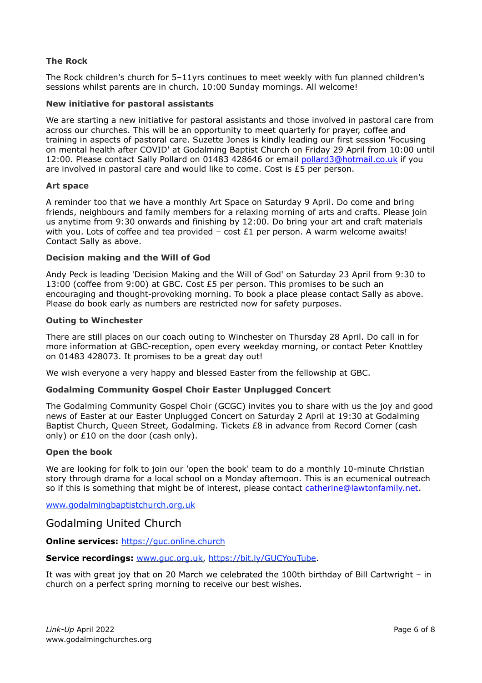#### **The Rock**

The Rock children's church for 5–11yrs continues to meet weekly with fun planned children's sessions whilst parents are in church. 10:00 Sunday mornings. All welcome!

#### **New initiative for pastoral assistants**

We are starting a new initiative for pastoral assistants and those involved in pastoral care from across our churches. This will be an opportunity to meet quarterly for prayer, coffee and training in aspects of pastoral care. Suzette Jones is kindly leading our first session 'Focusing on mental health after COVID' at Godalming Baptist Church on Friday 29 April from 10:00 until 12:00. Please contact Sally Pollard on 01483 428646 or email [pollard3@hotmail.co.uk](mailto:pollard3@hotmail.co.uk) if you are involved in pastoral care and would like to come. Cost is £5 per person.

#### **Art space**

A reminder too that we have a monthly Art Space on Saturday 9 April. Do come and bring friends, neighbours and family members for a relaxing morning of arts and crafts. Please join us anytime from 9:30 onwards and finishing by 12:00. Do bring your art and craft materials with you. Lots of coffee and tea provided  $-$  cost £1 per person. A warm welcome awaits! Contact Sally as above.

#### **Decision making and the Will of God**

Andy Peck is leading 'Decision Making and the Will of God' on Saturday 23 April from 9:30 to 13:00 (coffee from 9:00) at GBC. Cost £5 per person. This promises to be such an encouraging and thought-provoking morning. To book a place please contact Sally as above. Please do book early as numbers are restricted now for safety purposes.

#### **Outing to Winchester**

There are still places on our coach outing to Winchester on Thursday 28 April. Do call in for more information at GBC-reception, open every weekday morning, or contact Peter Knottley on 01483 428073. It promises to be a great day out!

We wish everyone a very happy and blessed Easter from the fellowship at GBC.

#### **Godalming Community Gospel Choir Easter Unplugged Concert**

The Godalming Community Gospel Choir (GCGC) invites you to share with us the joy and good news of Easter at our Easter Unplugged Concert on Saturday 2 April at 19:30 at Godalming Baptist Church, Queen Street, Godalming. Tickets £8 in advance from Record Corner (cash only) or  $£10$  on the door (cash only).

#### **Open the book**

We are looking for folk to join our 'open the book' team to do a monthly 10-minute Christian story through drama for a local school on a Monday afternoon. This is an ecumenical outreach so if this is something that might be of interest, please contact [catherine@lawtonfamily.net](mailto:catherine@lawtonfamily.net).

[www.godalmingbaptistchurch.org.uk](http://www.godalmingbaptistchurch.org.uk)

#### Godalming United Church

**Online services:** <https://guc.online.church>

**Service recordings:** [www.guc.org.uk](http://www.guc.org.uk),<https://bit.ly/GUCYouTube>.

It was with great joy that on 20 March we celebrated the 100th birthday of Bill Cartwright – in church on a perfect spring morning to receive our best wishes.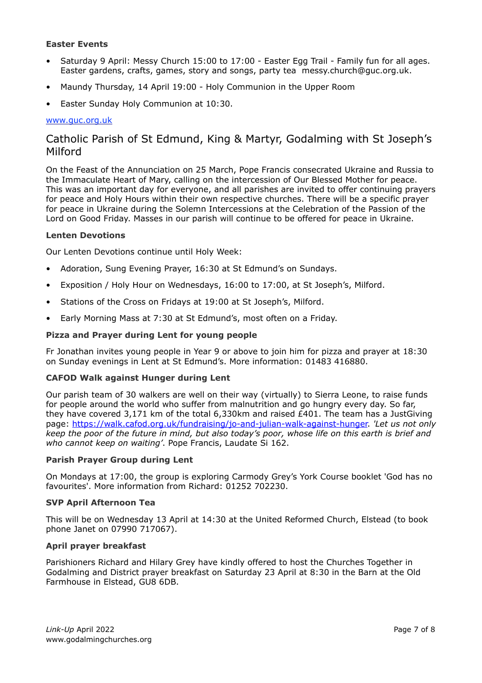#### **Easter Events**

- Saturday 9 April: Messy Church 15:00 to 17:00 Easter Egg Trail Family fun for all ages. Easter gardens, crafts, games, story and songs, party tea [messy.church@guc.org.uk.](mailto:messy.church@guc.org.uk)
- Maundy Thursday, 14 April 19:00 Holy Communion in the Upper Room
- Easter Sunday Holy Communion at 10:30.

#### [www.guc.org.uk](http://www.guc.org.uk)

### Catholic Parish of St Edmund, King & Martyr, Godalming with St Joseph's Milford

On the Feast of the Annunciation on 25 March, Pope Francis consecrated Ukraine and Russia to the Immaculate Heart of Mary, calling on the intercession of Our Blessed Mother for peace. This was an important day for everyone, and all parishes are invited to offer continuing prayers for peace and Holy Hours within their own respective churches. There will be a specific prayer for peace in Ukraine during the Solemn Intercessions at the Celebration of the Passion of the Lord on Good Friday. Masses in our parish will continue to be offered for peace in Ukraine.

#### **Lenten Devotions**

Our Lenten Devotions continue until Holy Week:

- Adoration, Sung Evening Prayer, 16:30 at St Edmund's on Sundays.
- Exposition / Holy Hour on Wednesdays, 16:00 to 17:00, at St Joseph's, Milford.
- Stations of the Cross on Fridays at 19:00 at St Joseph's, Milford.
- Early Morning Mass at 7:30 at St Edmund's, most often on a Friday.

#### **Pizza and Prayer during Lent for young people**

Fr Jonathan invites young people in Year 9 or above to join him for pizza and prayer at 18:30 on Sunday evenings in Lent at St Edmund's. More information: 01483 416880.

#### **CAFOD Walk against Hunger during Lent**

Our parish team of 30 walkers are well on their way (virtually) to Sierra Leone, to raise funds for people around the world who suffer from malnutrition and go hungry every day. So far, they have covered 3,171 km of the total 6,330km and raised £401. The team has a JustGiving page: [https://walk.cafod.org.uk/fundraising/jo-and-julian-walk-against-hunger.](https://walk.cafod.org.uk/fundraising/jo-and-julian-walk-against-hunger) *'Let us not only keep the poor of the future in mind, but also today's poor, whose life on this earth is brief and who cannot keep on waiting'*. Pope Francis, Laudate Si 162.

#### **Parish Prayer Group during Lent**

On Mondays at 17:00, the group is exploring Carmody Grey's York Course booklet 'God has no favourites'. More information from Richard: 01252 702230.

#### **SVP April Afternoon Tea**

This will be on Wednesday 13 April at 14:30 at the United Reformed Church, Elstead (to book phone Janet on 07990 717067).

#### **April prayer breakfast**

Parishioners Richard and Hilary Grey have kindly offered to host the Churches Together in Godalming and District prayer breakfast on Saturday 23 April at 8:30 in the Barn at the Old Farmhouse in Elstead, GU8 6DB.